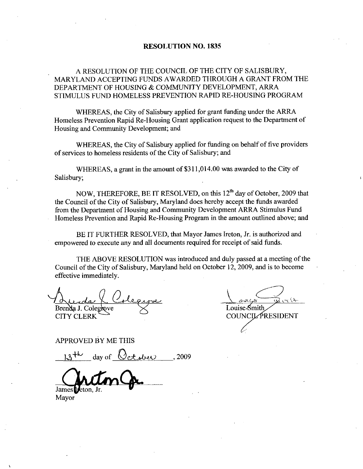### RESOLUTION NO. 1835

ARESOLUTION OF THE COUNCIL OF THE CITY OF SALISBURY MARYLAND ACCEPTING FUNDS AWARDED THROUGH A GRANT FROM THE DEPARTMENT OF HOUSING & COMMUNITY DEVELOPMENT, ARRA<br>STIMULUS FUND HOMELESS PREVENTION RAPID RE-HOUSING PROGRAM DEPARTMENT OF HOUSING & COMMUNITY DEVELOPMENT, ARRA STIMULUS FUND HOMELESS PREVENTION RAPID RE-HOUSING PROGRAM

WHEREAS, the City of Salisbury applied for grant funding under the ARRA Homeless Prevention Rapid Re-Housing Grant application request to the Department of Housing and Community Development; and

WHEREAS, the City of Salisbury applied for funding on behalf of five providers of services to homeless residents of the City of Salisbury; and

WHEREAS, a grant in the amount of  $$311,014.00$  was awarded to the City of Salisbury

NOW, THEREFORE, BE IT RESOLVED, on this 12<sup>th</sup> day of October, 2009 that the Council of the City of Salisbury, Maryland does hereby accept the funds awarded from the Department of Housing and Community Development ARRA Stimulus Fund Homeless Prevention and Rapid Re-Housing Program in the amount outlined above; and

BE IT FURTHER RESOLVED, that Mayor James Ireton, Jr. is authorized and empowered to execute any and all documents required for receipt of said funds

THE ABOVE RESOLUTION was introduced and duly passed at a meeting of the Council of the City of Salisbury, Maryland held on October 12, 2009, and is to become effective immediately

Brenda J. Colegrove CITY CLERK  $H_{\text{indaj}}$  J. Colegrove<br>
IY CLERK<br>
PROVED BY ME THIS<br>  $13^{+k}$  day of <u>October</u>, 2009

Louise Smith COUNCIL PRESIDENT

APPROVED BY ME THIS

James *theton*.

**Mayor**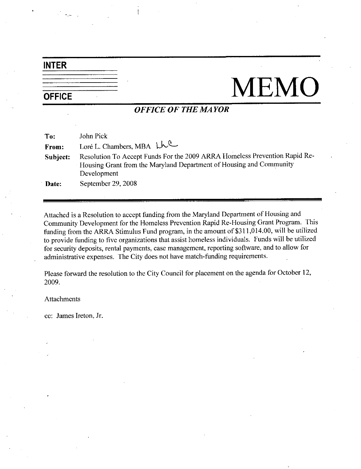# INTER

# OFFICE MEMO

## OFFICE OF THE MAYOR

| To:      | John Pick                                                                                                                                                        |
|----------|------------------------------------------------------------------------------------------------------------------------------------------------------------------|
| From:    | Loré L. Chambers, MBA LLC                                                                                                                                        |
| Subject: | Resolution To Accept Funds For the 2009 ARRA Homeless Prevention Rapid Re-<br>Housing Grant from the Maryland Department of Housing and Community<br>Development |
| Date:    | September 29, 2008                                                                                                                                               |

Attached is a Resolution to accept funding from the Maryland Department of Housing and Community Development for the Homeless Prevention Rapid Re-Housing Grant Program. This Attached is a Resolution to accept funding from the Maryland Department of Housing and<br>Community Development for the Homeless Prevention Rapid Re-Housing Grant Program. This<br>funding from the ARRA Stimulus Fund program, in to provide funding to five organizations that assist homeless individuals. Funds will be utilized<br>for security deposits, rental payments, case management, reporting software, and to allow for funding from the ARRA Stimulus Fund program, in the amount of \$311,014.00, will be utility to provide funding to five organizations that assist homeless individuals. Funds will be utilize for security deposits, rental paym administrative expenses. The City does not have match-funding requirements.

Please forward the resolution to the City Council for placement on the agenda for October 12 2009

### Attachments

cc: James Ireton, Jr.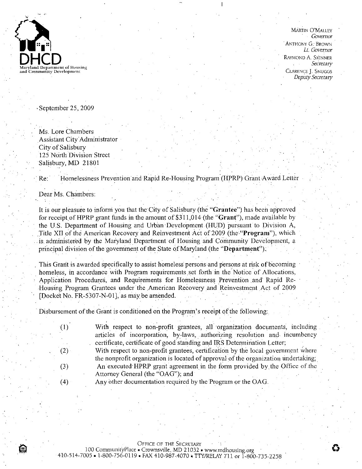

**MARTIN O'MALLEY** Govemor ANTHONY G. BROWN Lt Governor RAYMOND A. SKINNER **Secretary** CLARENCE J SNUGGS Deputy Secretary

September 25, 2009

Ms. Lore Chambers Assistant City Administrator City of Salisbury 125 North Division Street Salisbury, MD 21801

Re: Homelessness Prevention and Rapid Re-Housing Program (HPRP) Grant Award Letter

Dear Ms Chambers

)<br>自

It is our pleasure to inform you that the City of Salisbury (the "Grantee") has been approved Four rist chainsets.<br>It is our pleasure to inform you that the City of Salisbury (the "Grantee") has been approved<br>for receipt of HPRP grant funds in the amount of \$311,014 (the "Grant"), made available by<br>the U.S. Departm Dear Ms. Chambers:<br>
It is our pleasure to inform you that the City of Salisbury (the "Grantee") has been approved<br>
for receipt of HPRP grant funds in the amount of \$311,014 (the "Grant"), made available by<br>
the U.S. Depart Title XII of the American Recovery and Reinvestment Act of 2009 (the "Program"), which is administered by the Maryland Department of Housing and Community Development, a principal division of the government of the State of Maryland (the "Department").

This Grant is awarded specifically to assist homeless persons and persons at risk of becoming homeless, in accordance with Program requirements set forth in the Notice of Allocations, Application Procedures, and Requirements for Homelessness Prevention and Rapid Re-Housing Program Grantees under the American Recovery and Reinvestment Act of <sup>2009</sup> This Grant is awarded specifically to assist homel<br>homeless, in accordance with Program requirem<br>Application Procedures, and Requirements for<br>Housing Program Grantees under the American<br>[Docket No. FR-5307-N-01], as may be homeless, in accordance with Program requirements set forth in the Notice of Al<br>Application Procedures, and Requirements for Homelessness Prevention and F<br>Housing Program Grantees under the American Recovery and Reinvestme

| (1) | With respect to non-profit grantees, all organization documents, including         |
|-----|------------------------------------------------------------------------------------|
|     | articles of incorporation, by-laws, authorizing resolution and incumbency          |
|     | certificate, certificate of good standing and IRS Determination Letter;            |
| (2) | With respect to non-profit grantees, certification by the local government where   |
|     | the nonprofit organization is located of approval of the organization undertaking. |
| (3) | An executed HPRP grant agreement in the form provided by the Office of the         |
|     | Attorney General (the "OAG"); and                                                  |
| (4) | Any other documentation required by the Program or the OAG.                        |
|     |                                                                                    |